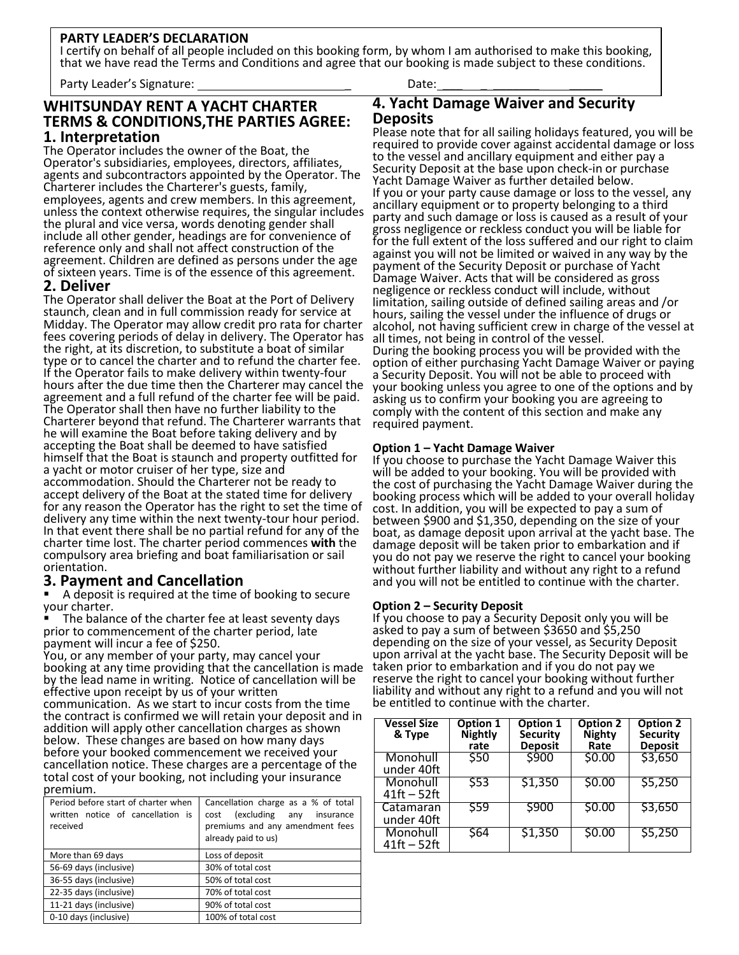#### **PARTY LEADER'S DECLARATION**

I certify on behalf of all people included on this booking form, by whom I am authorised to make this booking, that we have read the Terms and Conditions and agree that our booking is made subject to these conditions.

Party Leader's Signature: \_ Date: \_\_\_ \_ \_\_\_\_\_\_\_ \_\_\_\_\_

#### **WHITSUNDAY RENT A YACHT CHARTER TERMS & CONDITIONS,THE PARTIES AGREE: 1. Interpretation**

The Operator includes the owner of the Boat, the Operator's subsidiaries, employees, directors, affiliates, agents and subcontractors appointed by the Operator. The Charterer includes the Charterer's guests, family, employees, agents and crew members. In this agreement, unless the context otherwise requires, the singular includes the plural and vice versa, words denoting gender shall include all other gender, headings are for convenience of reference only and shall not affect construction of the agreement. Children are defined as persons under the age of sixteen years. Time is of the essence of this agreement.

### **2. Deliver**

The Operator shall deliver the Boat at the Port of Delivery staunch, clean and in full commission ready for service at Midday. The Operator may allow credit pro rata for charter fees covering periods of delay in delivery. The Operator has the right, at its discretion, to substitute a boat of similar type or to cancel the charter and to refund the charter fee. If the Operator fails to make delivery within twenty-four hours after the due time then the Charterer may cancel the agreement and a full refund of the charter fee will be paid. The Operator shall then have no further liability to the Charterer beyond that refund. The Charterer warrants that he will examine the Boat before taking delivery and by accepting the Boat shall be deemed to have satisfied himself that the Boat is staunch and property outfitted for a yacht or motor cruiser of her type, size and accommodation. Should the Charterer not be ready to accept delivery of the Boat at the stated time for delivery for any reason the Operator has the right to set the time of delivery any time within the next twenty-tour hour period. In that event there shall be no partial refund for any of the charter time lost. The charter period commences **with** the compulsory area briefing and boat familiarisation or sail orientation.

### **3. Payment and Cancellation**

A deposit is required at the time of booking to secure your charter.

The balance of the charter fee at least seventy days prior to commencement of the charter period, late payment will incur a fee of \$250.

You, or any member of your party, may cancel your booking at any time providing that the cancellation is made by the lead name in writing. Notice of cancellation will be effective upon receipt by us of your written communication. As we start to incur costs from the time the contract is confirmed we will retain your deposit and in

addition will apply other cancellation charges as shown below. These changes are based on how many days before your booked commencement we received your cancellation notice. These charges are a percentage of the total cost of your booking, not including your insurance premium.

| Period before start of charter when<br>written notice of cancellation is<br>received | Cancellation charge as a % of total<br>(excluding any<br>insurance<br>cost<br>premiums and any amendment fees<br>already paid to us) |  |
|--------------------------------------------------------------------------------------|--------------------------------------------------------------------------------------------------------------------------------------|--|
| More than 69 days                                                                    | Loss of deposit                                                                                                                      |  |
| 56-69 days (inclusive)                                                               | 30% of total cost                                                                                                                    |  |
| 36-55 days (inclusive)                                                               | 50% of total cost                                                                                                                    |  |
| 22-35 days (inclusive)                                                               | 70% of total cost                                                                                                                    |  |
| 11-21 days (inclusive)                                                               | 90% of total cost                                                                                                                    |  |
| 0-10 days (inclusive)                                                                | 100% of total cost                                                                                                                   |  |

**4. Yacht Damage Waiver and Security Deposits** 

Please note that for all sailing holidays featured, you will be required to provide cover against accidental damage or loss to the vessel and ancillary equipment and either pay a Security Deposit at the base upon check-in or purchase Yacht Damage Waiver as further detailed below. If you or your party cause damage or loss to the vessel, any ancillary equipment or to property belonging to a third party and such damage or loss is caused as a result of your gross negligence or reckless conduct you will be liable for for the full extent of the loss suffered and our right to claim against you will not be limited or waived in any way by the payment of the Security Deposit or purchase of Yacht Damage Waiver. Acts that will be considered as gross negligence or reckless conduct will include, without limitation, sailing outside of defined sailing areas and /or hours, sailing the vessel under the influence of drugs or alcohol, not having sufficient crew in charge of the vessel at all times, not being in control of the vessel. During the booking process you will be provided with the option of either purchasing Yacht Damage Waiver or paying a Security Deposit. You will not be able to proceed with your booking unless you agree to one of the options and by asking us to confirm your booking you are agreeing to comply with the content of this section and make any required payment.

#### **Option 1 – Yacht Damage Waiver**

If you choose to purchase the Yacht Damage Waiver this will be added to your booking. You will be provided with the cost of purchasing the Yacht Damage Waiver during the booking process which will be added to your overall holiday cost. In addition, you will be expected to pay a sum of between \$900 and \$1,350, depending on the size of your boat, as damage deposit upon arrival at the yacht base. The damage deposit will be taken prior to embarkation and if you do not pay we reserve the right to cancel your booking without further liability and without any right to a refund and you will not be entitled to continue with the charter.

#### **Option 2 – Security Deposit**

If you choose to pay a Security Deposit only you will be asked to pay a sum of between \$3650 and \$5,250 depending on the size of your vessel, as Security Deposit upon arrival at the yacht base. The Security Deposit will be taken prior to embarkation and if you do not pay we reserve the right to cancel your booking without further liability and without any right to a refund and you will not be entitled to continue with the charter.

| <b>Vessel Size</b><br>& Type | Option 1<br>Nightly<br>rate | <b>Option 1</b><br><b>Security</b><br><b>Deposit</b> | <b>Option 2</b><br><b>Nighty</b><br>Rate | <b>Option 2</b><br><b>Security</b><br><b>Deposit</b> |
|------------------------------|-----------------------------|------------------------------------------------------|------------------------------------------|------------------------------------------------------|
| Monohull<br>under 40ft       | \$50                        | \$900                                                | \$0.00                                   | \$3,650                                              |
| Monohull<br>$41ft - 52ft$    | \$53                        | \$1,350                                              | \$0.00                                   | \$5,250                                              |
| Catamaran<br>under 40ft      | \$59                        | \$900                                                | \$0.00                                   | \$3,650                                              |
| Monohull<br>$41ft - 52ft$    | \$64                        | \$1,350                                              | \$0.00                                   | \$5,250                                              |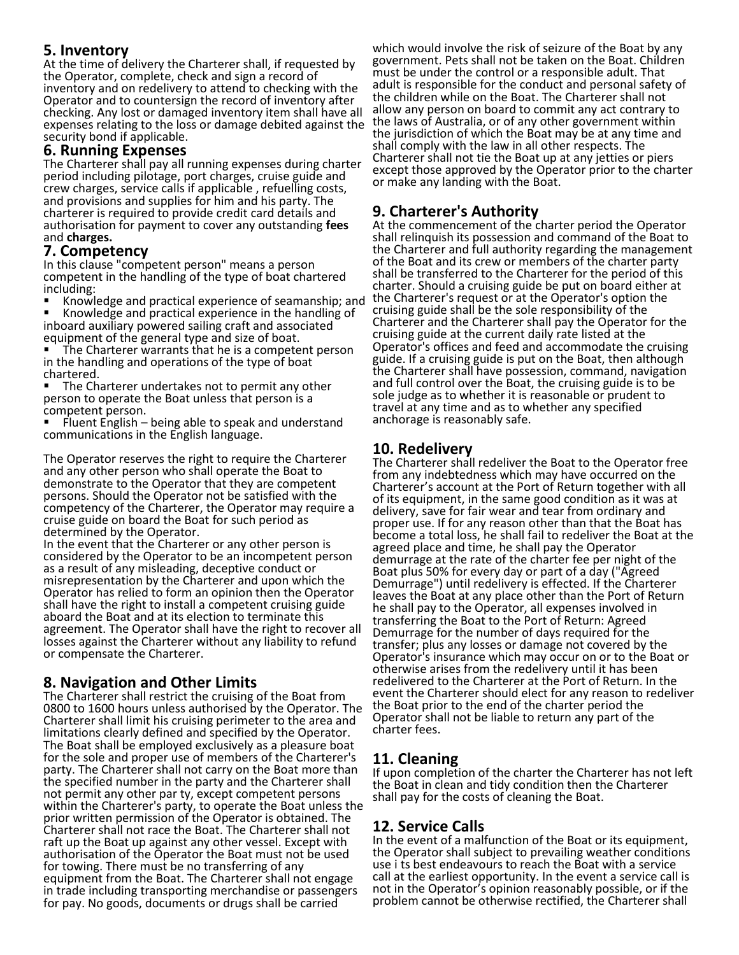# **5. Inventory**

At the time of delivery the Charterer shall, if requested by the Operator, complete, check and sign a record of inventory and on redelivery to attend to checking with the Operator and to countersign the record of inventory after checking. Any lost or damaged inventory item shall have all expenses relating to the loss or damage debited against the security bond if applicable.

## **6. Running Expenses**

The Charterer shall pay all running expenses during charter period including pilotage, port charges, cruise guide and crew charges, service calls if applicable , refuelling costs, and provisions and supplies for him and his party. The charterer is required to provide credit card details and authorisation for payment to cover any outstanding **fees**  and **charges.** 

### **7. Competency**

In this clause "competent person" means a person competent in the handling of the type of boat chartered including:

Knowledge and practical experience of seamanship; and

Knowledge and practical experience in the handling of inboard auxiliary powered sailing craft and associated equipment of the general type and size of boat.

The Charterer warrants that he is a competent person in the handling and operations of the type of boat chartered.

The Charterer undertakes not to permit any other person to operate the Boat unless that person is a competent person.

Fluent English – being able to speak and understand communications in the English language.

The Operator reserves the right to require the Charterer and any other person who shall operate the Boat to demonstrate to the Operator that they are competent persons. Should the Operator not be satisfied with the competency of the Charterer, the Operator may require a cruise guide on board the Boat for such period as determined by the Operator.

In the event that the Charterer or any other person is considered by the Operator to be an incompetent person as a result of any misleading, deceptive conduct or misrepresentation by the Charterer and upon which the Operator has relied to form an opinion then the Operator shall have the right to install a competent cruising guide aboard the Boat and at its election to terminate this agreement. The Operator shall have the right to recover all losses against the Charterer without any liability to refund or compensate the Charterer.

## **8. Navigation and Other Limits**

The Charterer shall restrict the cruising of the Boat from 0800 to 1600 hours unless authorised by the Operator. The Charterer shall limit his cruising perimeter to the area and limitations clearly defined and specified by the Operator. The Boat shall be employed exclusively as a pleasure boat for the sole and proper use of members of the Charterer's party. The Charterer shall not carry on the Boat more than the specified number in the party and the Charterer shall not permit any other par ty, except competent persons within the Charterer's party, to operate the Boat unless the prior written permission of the Operator is obtained. The Charterer shall not race the Boat. The Charterer shall not raft up the Boat up against any other vessel. Except with authorisation of the Operator the Boat must not be used for towing. There must be no transferring of any equipment from the Boat. The Charterer shall not engage in trade including transporting merchandise or passengers for pay. No goods, documents or drugs shall be carried

which would involve the risk of seizure of the Boat by any government. Pets shall not be taken on the Boat. Children must be under the control or a responsible adult. That adult is responsible for the conduct and personal safety of the children while on the Boat. The Charterer shall not allow any person on board to commit any act contrary to the laws of Australia, or of any other government within the jurisdiction of which the Boat may be at any time and shall comply with the law in all other respects. The Charterer shall not tie the Boat up at any jetties or piers except those approved by the Operator prior to the charter or make any landing with the Boat.

# **9. Charterer's Authority**

At the commencement of the charter period the Operator shall relinquish its possession and command of the Boat to the Charterer and full authority regarding the management of the Boat and its crew or members of the charter party shall be transferred to the Charterer for the period of this charter. Should a cruising guide be put on board either at the Charterer's request or at the Operator's option the cruising guide shall be the sole responsibility of the Charterer and the Charterer shall pay the Operator for the cruising guide at the current daily rate listed at the Operator's offices and feed and accommodate the cruising guide. If a cruising guide is put on the Boat, then although the Charterer shall have possession, command, navigation and full control over the Boat, the cruising guide is to be sole judge as to whether it is reasonable or prudent to travel at any time and as to whether any specified anchorage is reasonably safe.

# **10. Redelivery**

The Charterer shall redeliver the Boat to the Operator free from any indebtedness which may have occurred on the Charterer's account at the Port of Return together with all of its equipment, in the same good condition as it was at delivery, save for fair wear and tear from ordinary and proper use. If for any reason other than that the Boat has become a total loss, he shall fail to redeliver the Boat at the agreed place and time, he shall pay the Operator demurrage at the rate of the charter fee per night of the Boat plus 50% for every day or part of a day ("Agreed Demurrage") until redelivery is effected. If the Charterer leaves the Boat at any place other than the Port of Return he shall pay to the Operator, all expenses involved in transferring the Boat to the Port of Return: Agreed Demurrage for the number of days required for the transfer; plus any losses or damage not covered by the Operator's insurance which may occur on or to the Boat or otherwise arises from the redelivery until it has been redelivered to the Charterer at the Port of Return. In the event the Charterer should elect for any reason to redeliver the Boat prior to the end of the charter period the Operator shall not be liable to return any part of the charter fees.

## **11. Cleaning**

If upon completion of the charter the Charterer has not left the Boat in clean and tidy condition then the Charterer shall pay for the costs of cleaning the Boat.

## **12. Service Calls**

In the event of a malfunction of the Boat or its equipment, the Operator shall subject to prevailing weather conditions use i ts best endeavours to reach the Boat with a service call at the earliest opportunity. In the event a service call is not in the Operator's opinion reasonably possible, or if the problem cannot be otherwise rectified, the Charterer shall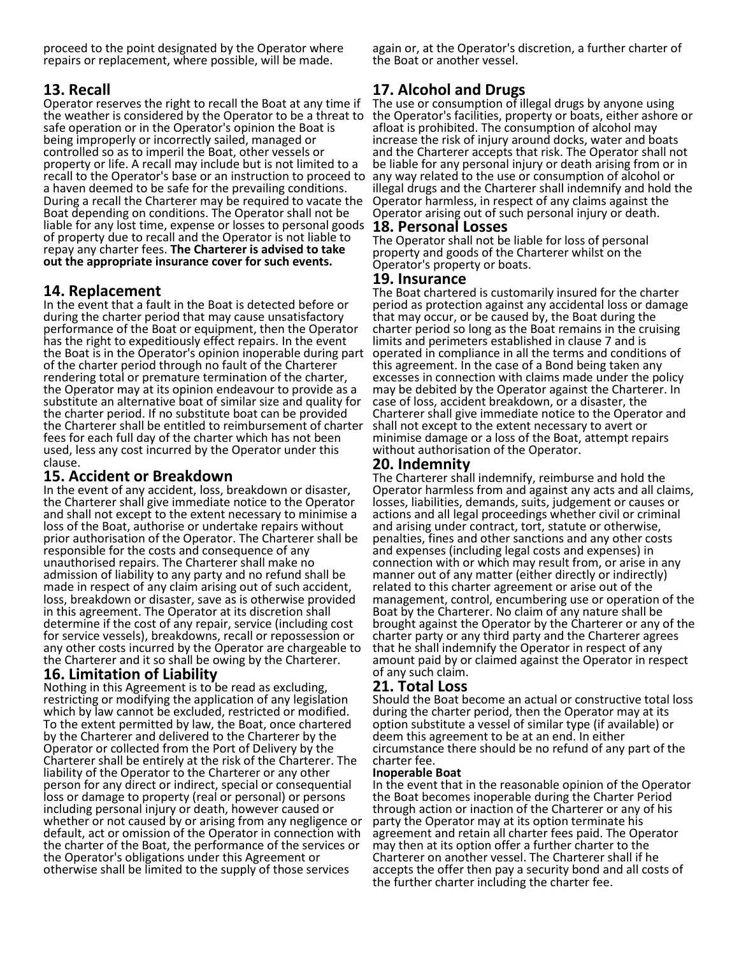proceed to the point designated by the Operator where repairs or replacement, where possible, will be made.

# **13. Recall**

Operator reserves the right to recall the Boat at any time if the weather is considered by the Operator to be a threat to safe operation or in the Operator's opinion the Boat is being improperly or incorrectly sailed, managed or controlled so as to imperil the Boat, other vessels or property or life. A recall may include but is not limited to a recall to the Operator's base or an instruction to proceed to a haven deemed to be safe for the prevailing conditions. During a recall the Charterer may be required to vacate the Boat depending on conditions. The Operator shall not be liable for any lost time, expense or losses to personal goods of property due to recall and the Operator is not liable to repay any charter fees. **The Charterer is advised to take out the appropriate insurance cover for such events.** 

# **14. Replacement**

In the event that a fault in the Boat is detected before or during the charter period that may cause unsatisfactory performance of the Boat or equipment, then the Operator has the right to expeditiously effect repairs. In the event the Boat is in the Operator's opinion inoperable during part of the charter period through no fault of the Charterer rendering total or premature termination of the charter, the Operator may at its opinion endeavour to provide as a substitute an alternative boat of similar size and quality for the charter period. If no substitute boat can be provided the Charterer shall be entitled to reimbursement of charter fees for each full day of the charter which has not been used, less any cost incurred by the Operator under this clause.

### **15. Accident or Breakdown**

In the event of any accident, loss, breakdown or disaster, the Charterer shall give immediate notice to the Operator and shall not except to the extent necessary to minimise a loss of the Boat, authorise or undertake repairs without prior authorisation of the Operator. The Charterer shall be responsible for the costs and consequence of any unauthorised repairs. The Charterer shall make no admission of liability to any party and no refund shall be made in respect of any claim arising out of such accident, loss, breakdown or disaster, save as is otherwise provided in this agreement. The Operator at its discretion shall determine if the cost of any repair, service (including cost for service vessels), breakdowns, recall or repossession or any other costs incurred by the Operator are chargeable to the Charterer and it so shall be owing by the Charterer.

### **16. Limitation of Liability**

Nothing in this Agreement is to be read as excluding, restricting or modifying the application of any legislation which by law cannot be excluded, restricted or modified. To the extent permitted by law, the Boat, once chartered by the Charterer and delivered to the Charterer by the Operator or collected from the Port of Delivery by the Charterer shall be entirely at the risk of the Charterer. The liability of the Operator to the Charterer or any other person for any direct or indirect, special or consequential loss or damage to property (real or personal) or persons including personal injury or death, however caused or whether or not caused by or arising from any negligence or default, act or omission of the Operator in connection with the charter of the Boat, the performance of the services or the Operator's obligations under this Agreement or otherwise shall be limited to the supply of those services

again or, at the Operator's discretion, a further charter of the Boat or another vessel.

# **17. Alcohol and Drugs**

The use or consumption of illegal drugs by anyone using the Operator's facilities, property or boats, either ashore or afloat is prohibited. The consumption of alcohol may increase the risk of injury around docks, water and boats and the Charterer accepts that risk. The Operator shall not be liable for any personal injury or death arising from or in any way related to the use or consumption of alcohol or illegal drugs and the Charterer shall indemnify and hold the Operator harmless, in respect of any claims against the Operator arising out of such personal injury or death.

### **18. Personal Losses**

The Operator shall not be liable for loss of personal property and goods of the Charterer whilst on the Operator's property or boats.

#### **19. Insurance**

The Boat chartered is customarily insured for the charter period as protection against any accidental loss or damage that may occur, or be caused by, the Boat during the charter period so long as the Boat remains in the cruising limits and perimeters established in clause 7 and is operated in compliance in all the terms and conditions of this agreement. In the case of a Bond being taken any excesses in connection with claims made under the policy may be debited by the Operator against the Charterer. In case of loss, accident breakdown, or a disaster, the Charterer shall give immediate notice to the Operator and shall not except to the extent necessary to avert or minimise damage or a loss of the Boat, attempt repairs without authorisation of the Operator.

### **20. Indemnity**

The Charterer shall indemnify, reimburse and hold the Operator harmless from and against any acts and all claims, losses, liabilities, demands, suits, judgement or causes or actions and all legal proceedings whether civil or criminal and arising under contract, tort, statute or otherwise, penalties, fines and other sanctions and any other costs and expenses (including legal costs and expenses) in connection with or which may result from, or arise in any manner out of any matter (either directly or indirectly) related to this charter agreement or arise out of the management, control, encumbering use or operation of the Boat by the Charterer. No claim of any nature shall be brought against the Operator by the Charterer or any of the charter party or any third party and the Charterer agrees that he shall indemnify the Operator in respect of any amount paid by or claimed against the Operator in respect of any such claim.

## **21. Total Loss**

Should the Boat become an actual or constructive total loss during the charter period, then the Operator may at its option substitute a vessel of similar type (if available) or deem this agreement to be at an end. In either circumstance there should be no refund of any part of the charter fee.

#### **Inoperable Boat**

In the event that in the reasonable opinion of the Operator the Boat becomes inoperable during the Charter Period through action or inaction of the Charterer or any of his party the Operator may at its option terminate his agreement and retain all charter fees paid. The Operator may then at its option offer a further charter to the Charterer on another vessel. The Charterer shall if he accepts the offer then pay a security bond and all costs of the further charter including the charter fee.